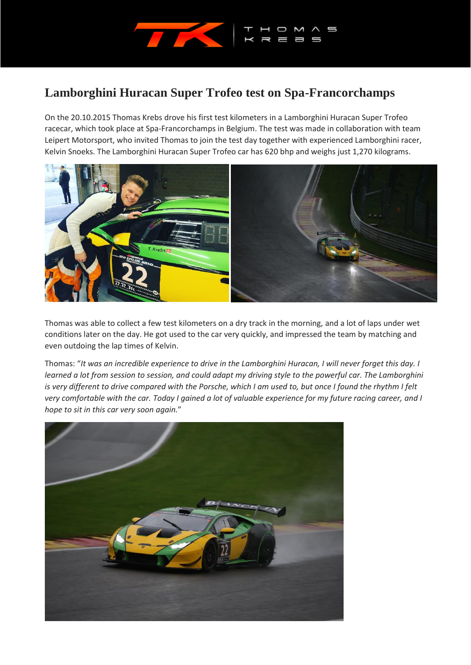

## **Lamborghini Huracan Super Trofeo test on Spa-Francorchamps**

On the 20.10.2015 Thomas Krebs drove his first test kilometers in a Lamborghini Huracan Super Trofeo racecar, which took place at Spa-Francorchamps in Belgium. The test was made in collaboration with team Leipert Motorsport, who invited Thomas to join the test day together with experienced Lamborghini racer, Kelvin Snoeks. The Lamborghini Huracan Super Trofeo car has 620 bhp and weighs just 1,270 kilograms.



Thomas was able to collect a few test kilometers on a dry track in the morning, and a lot of laps under wet conditions later on the day. He got used to the car very quickly, and impressed the team by matching and even outdoing the lap times of Kelvin.

Thomas: "*It was an incredible experience to drive in the Lamborghini Huracan, I will never forget this day. I learned a lot from session to session, and could adapt my driving style to the powerful car. The Lamborghini is very different to drive compared with the Porsche, which I am used to, but once I found the rhythm I felt very comfortable with the car. Today I gained a lot of valuable experience for my future racing career, and I hope to sit in this car very soon again.*"